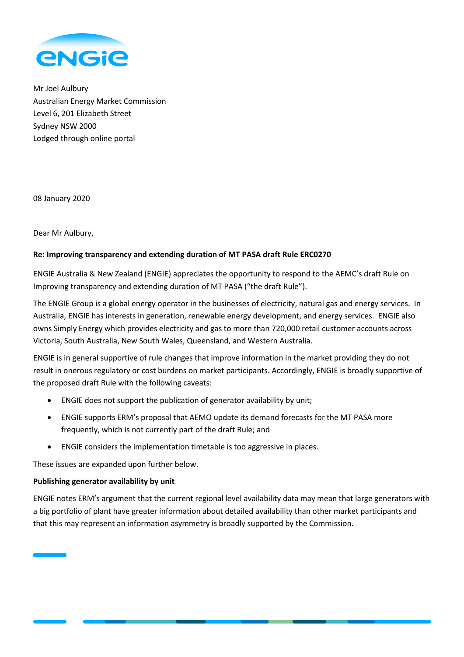

Mr Joel Aulbury Australian Energy Market Commission Level 6, 201 Elizabeth Street Sydney NSW 2000 Lodged through online portal

08 January 2020

Dear Mr Aulbury,

## **Re: Improving transparency and extending duration of MT PASA draft Rule ERC0270**

ENGIE Australia & New Zealand (ENGIE) appreciates the opportunity to respond to the AEMC's draft Rule on Improving transparency and extending duration of MT PASA ("the draft Rule").

The ENGIE Group is a global energy operator in the businesses of electricity, natural gas and energy services. In Australia, ENGIE has interests in generation, renewable energy development, and energy services. ENGIE also owns Simply Energy which provides electricity and gas to more than 720,000 retail customer accounts across Victoria, South Australia, New South Wales, Queensland, and Western Australia.

ENGIE is in general supportive of rule changes that improve information in the market providing they do not result in onerous regulatory or cost burdens on market participants. Accordingly, ENGIE is broadly supportive of the proposed draft Rule with the following caveats:

- ENGIE does not support the publication of generator availability by unit;
- ENGIE supports ERM's proposal that AEMO update its demand forecasts for the MT PASA more frequently, which is not currently part of the draft Rule; and
- ENGIE considers the implementation timetable is too aggressive in places.

These issues are expanded upon further below.

## **Publishing generator availability by unit**

ENGIE notes ERM's argument that the current regional level availability data may mean that large generators with a big portfolio of plant have greater information about detailed availability than other market participants and that this may represent an information asymmetry is broadly supported by the Commission.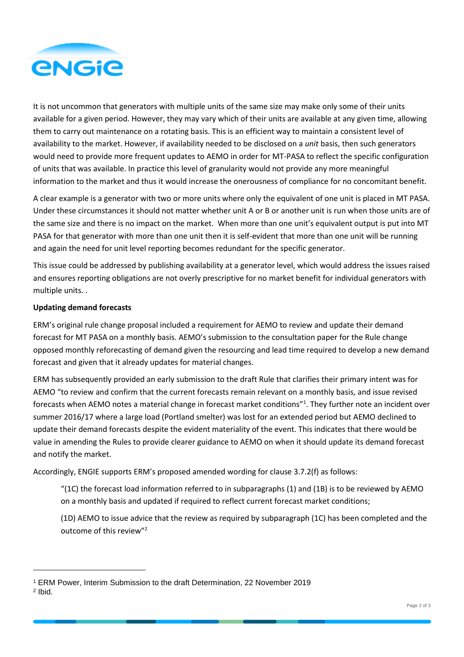

It is not uncommon that generators with multiple units of the same size may make only some of their units available for a given period. However, they may vary which of their units are available at any given time, allowing them to carry out maintenance on a rotating basis. This is an efficient way to maintain a consistent level of availability to the market. However, if availability needed to be disclosed on a *unit* basis, then such generators would need to provide more frequent updates to AEMO in order for MT-PASA to reflect the specific configuration of units that was available. In practice this level of granularity would not provide any more meaningful information to the market and thus it would increase the onerousness of compliance for no concomitant benefit.

A clear example is a generator with two or more units where only the equivalent of one unit is placed in MT PASA. Under these circumstances it should not matter whether unit A or B or another unit is run when those units are of the same size and there is no impact on the market. When more than one unit's equivalent output is put into MT PASA for that generator with more than one unit then it is self-evident that more than one unit will be running and again the need for unit level reporting becomes redundant for the specific generator.

This issue could be addressed by publishing availability at a generator level, which would address the issues raised and ensures reporting obligations are not overly prescriptive for no market benefit for individual generators with multiple units. .

## **Updating demand forecasts**

l

ERM's original rule change proposal included a requirement for AEMO to review and update their demand forecast for MT PASA on a monthly basis. AEMO's submission to the consultation paper for the Rule change opposed monthly reforecasting of demand given the resourcing and lead time required to develop a new demand forecast and given that it already updates for material changes.

ERM has subsequently provided an early submission to the draft Rule that clarifies their primary intent was for AEMO "to review and confirm that the current forecasts remain relevant on a monthly basis, and issue revised forecasts when AEMO notes a material change in forecast market conditions"<sup>1</sup>. They further note an incident over summer 2016/17 where a large load (Portland smelter) was lost for an extended period but AEMO declined to update their demand forecasts despite the evident materiality of the event. This indicates that there would be value in amending the Rules to provide clearer guidance to AEMO on when it should update its demand forecast and notify the market.

Accordingly, ENGIE supports ERM's proposed amended wording for clause 3.7.2(f) as follows:

"(1C) the forecast load information referred to in subparagraphs (1) and (1B) is to be reviewed by AEMO on a monthly basis and updated if required to reflect current forecast market conditions;

(1D) AEMO to issue advice that the review as required by subparagraph (1C) has been completed and the outcome of this review"<sup>2</sup>

<sup>1</sup> ERM Power, Interim Submission to the draft Determination, 22 November 2019 2 Ibid.